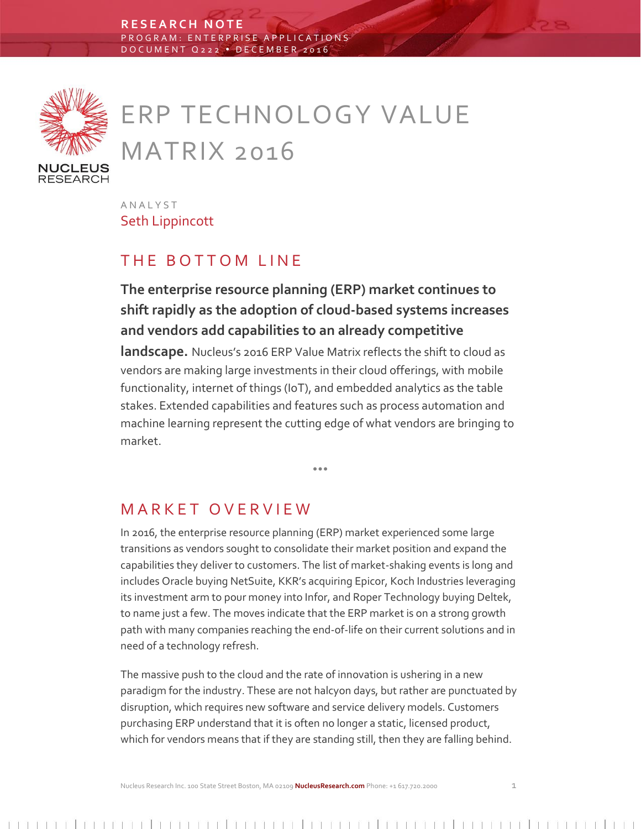

# ERP TECHNOLOGY VALUE MATRIX 2016

A N A L Y S T Seth Lippincott

# THE BOTTOM LINE

**The enterprise resource planning (ERP) market continues to shift rapidly as the adoption of cloud-based systems increases and vendors add capabilities to an already competitive** 

**landscape.** Nucleus's 2016 ERP Value Matrix reflects the shift to cloud as vendors are making large investments in their cloud offerings, with mobile functionality, internet of things (IoT), and embedded analytics as the table stakes. Extended capabilities and features such as process automation and machine learning represent the cutting edge of what vendors are bringing to market.

 $\bullet$   $\bullet$ 

# M A R K E T O V E R V I E W

In 2016, the enterprise resource planning (ERP) market experienced some large transitions as vendors sought to consolidate their market position and expand the capabilities they deliver to customers. The list of market-shaking events is long and includes Oracle buying NetSuite, KKR's acquiring Epicor, Koch Industries leveraging its investment arm to pour money into Infor, and Roper Technology buying Deltek, to name just a few. The moves indicate that the ERP market is on a strong growth path with many companies reaching the end-of-life on their current solutions and in need of a technology refresh.

The massive push to the cloud and the rate of innovation is ushering in a new paradigm for the industry. These are not halcyon days, but rather are punctuated by disruption, which requires new software and service delivery models. Customers purchasing ERP understand that it is often no longer a static, licensed product, which for vendors means that if they are standing still, then they are falling behind.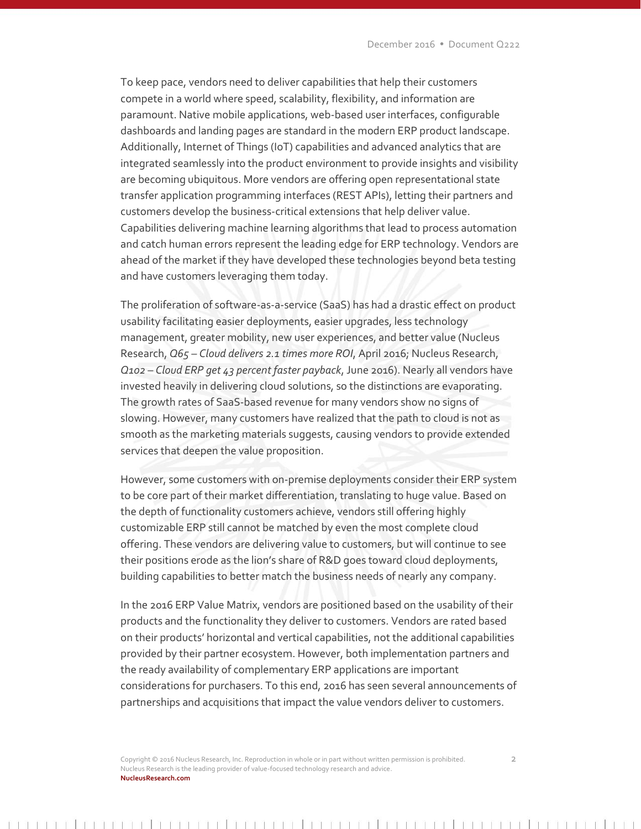To keep pace, vendors need to deliver capabilities that help their customers compete in a world where speed, scalability, flexibility, and information are paramount. Native mobile applications, web-based user interfaces, configurable dashboards and landing pages are standard in the modern ERP product landscape. Additionally, Internet of Things (IoT) capabilities and advanced analytics that are integrated seamlessly into the product environment to provide insights and visibility are becoming ubiquitous. More vendors are offering open representational state transfer application programming interfaces (REST APIs), letting their partners and customers develop the business-critical extensions that help deliver value. Capabilities delivering machine learning algorithms that lead to process automation and catch human errors represent the leading edge for ERP technology. Vendors are ahead of the market if they have developed these technologies beyond beta testing and have customers leveraging them today.

The proliferation of software-as-a-service (SaaS) has had a drastic effect on product usability facilitating easier deployments, easier upgrades, less technology management, greater mobility, new user experiences, and better value (Nucleus Research, *Q65 – Cloud delivers 2.1 times more ROI*, April 2016; Nucleus Research, *Q102 – Cloud ERP get 43 percent faster payback*, June 2016). Nearly all vendors have invested heavily in delivering cloud solutions, so the distinctions are evaporating. The growth rates of SaaS-based revenue for many vendors show no signs of slowing. However, many customers have realized that the path to cloud is not as smooth as the marketing materials suggests, causing vendors to provide extended services that deepen the value proposition.

However, some customers with on-premise deployments consider their ERP system to be core part of their market differentiation, translating to huge value. Based on the depth of functionality customers achieve, vendors still offering highly customizable ERP still cannot be matched by even the most complete cloud offering. These vendors are delivering value to customers, but will continue to see their positions erode as the lion's share of R&D goes toward cloud deployments, building capabilities to better match the business needs of nearly any company.

In the 2016 ERP Value Matrix, vendors are positioned based on the usability of their products and the functionality they deliver to customers. Vendors are rated based on their products' horizontal and vertical capabilities, not the additional capabilities provided by their partner ecosystem. However, both implementation partners and the ready availability of complementary ERP applications are important considerations for purchasers. To this end, 2016 has seen several announcements of partnerships and acquisitions that impact the value vendors deliver to customers.

Copyright © 2016 Nucleus Research, Inc. Reproduction in whole or in part without written permission is prohibited. 2 Nucleus Research is the leading provider of value-focused technology research and advice. **NucleusResearch.com**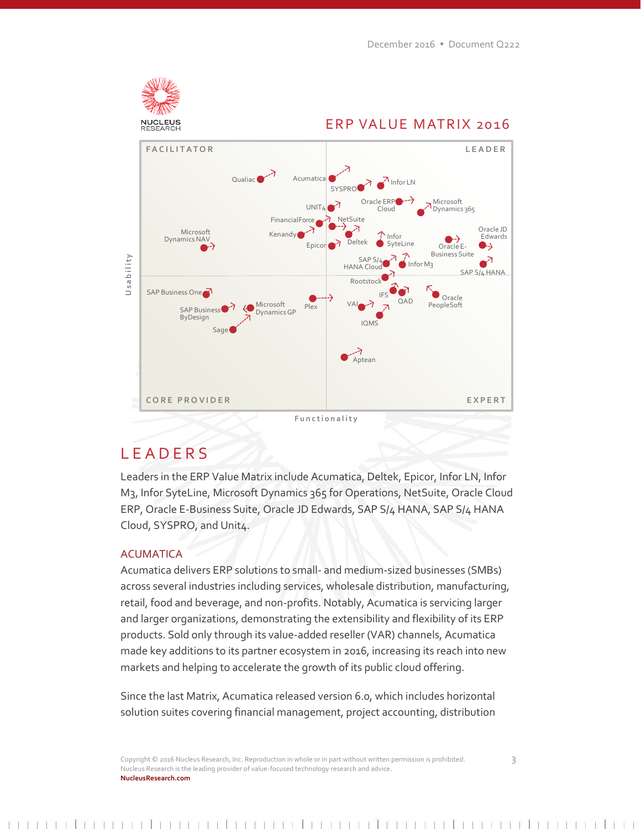

# **LEADERS**

Leaders in the ERP Value Matrix include Acumatica, Deltek, Epicor, Infor LN, Infor M3, Infor SyteLine, Microsoft Dynamics 365 for Operations, NetSuite, Oracle Cloud ERP, Oracle E-Business Suite, Oracle JD Edwards, SAP S/4 HANA, SAP S/4 HANA Cloud, SYSPRO, and Unit4.

## ACUMATICA

Acumatica delivers ERP solutions to small- and medium-sized businesses (SMBs) across several industries including services, wholesale distribution, manufacturing, retail, food and beverage, and non-profits. Notably, Acumatica is servicing larger and larger organizations, demonstrating the extensibility and flexibility of its ERP products. Sold only through its value-added reseller (VAR) channels, Acumatica made key additions to its partner ecosystem in 2016, increasing its reach into new markets and helping to accelerate the growth of its public cloud offering.

Since the last Matrix, Acumatica released version 6.0, which includes horizontal solution suites covering financial management, project accounting, distribution

Copyright © 2016 Nucleus Research, Inc. Reproduction in whole or in part without written permission is prohibited. 3 Nucleus Research is the leading provider of value-focused technology research and advice. **NucleusResearch.com**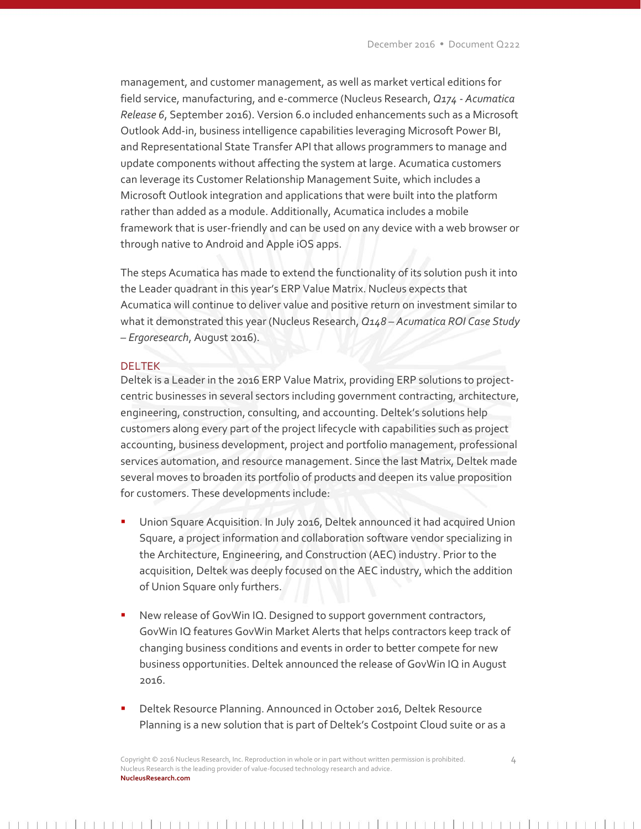management, and customer management, as well as market vertical editions for field service, manufacturing, and e-commerce (Nucleus Research, *Q174 - Acumatica Release 6*, September 2016). Version 6.0 included enhancements such as a Microsoft Outlook Add-in, business intelligence capabilities leveraging Microsoft Power BI, and Representational State Transfer API that allows programmers to manage and update components without affecting the system at large. Acumatica customers can leverage its Customer Relationship Management Suite, which includes a Microsoft Outlook integration and applications that were built into the platform rather than added as a module. Additionally, Acumatica includes a mobile framework that is user-friendly and can be used on any device with a web browser or through native to Android and Apple iOS apps.

The steps Acumatica has made to extend the functionality of its solution push it into the Leader quadrant in this year's ERP Value Matrix. Nucleus expects that Acumatica will continue to deliver value and positive return on investment similar to what it demonstrated this year (Nucleus Research, *Q148 – Acumatica ROI Case Study – Ergoresearch*, August 2016).

#### DELTEK

Deltek is a Leader in the 2016 ERP Value Matrix, providing ERP solutions to projectcentric businesses in several sectors including government contracting, architecture, engineering, construction, consulting, and accounting. Deltek's solutions help customers along every part of the project lifecycle with capabilities such as project accounting, business development, project and portfolio management, professional services automation, and resource management. Since the last Matrix, Deltek made several moves to broaden its portfolio of products and deepen its value proposition for customers. These developments include:

- Union Square Acquisition. In July 2016, Deltek announced it had acquired Union Square, a project information and collaboration software vendor specializing in the Architecture, Engineering, and Construction (AEC) industry. Prior to the acquisition, Deltek was deeply focused on the AEC industry, which the addition of Union Square only furthers.
- New release of GovWin IQ. Designed to support government contractors, GovWin IQ features GovWin Market Alerts that helps contractors keep track of changing business conditions and events in order to better compete for new business opportunities. Deltek announced the release of GovWin IQ in August 2016.
- Deltek Resource Planning. Announced in October 2016, Deltek Resource Planning is a new solution that is part of Deltek's Costpoint Cloud suite or as a

Copyright © 2016 Nucleus Research, Inc. Reproduction in whole or in part without written permission is prohibited. 4 Nucleus Research is the leading provider of value-focused technology research and advice. **NucleusResearch.com**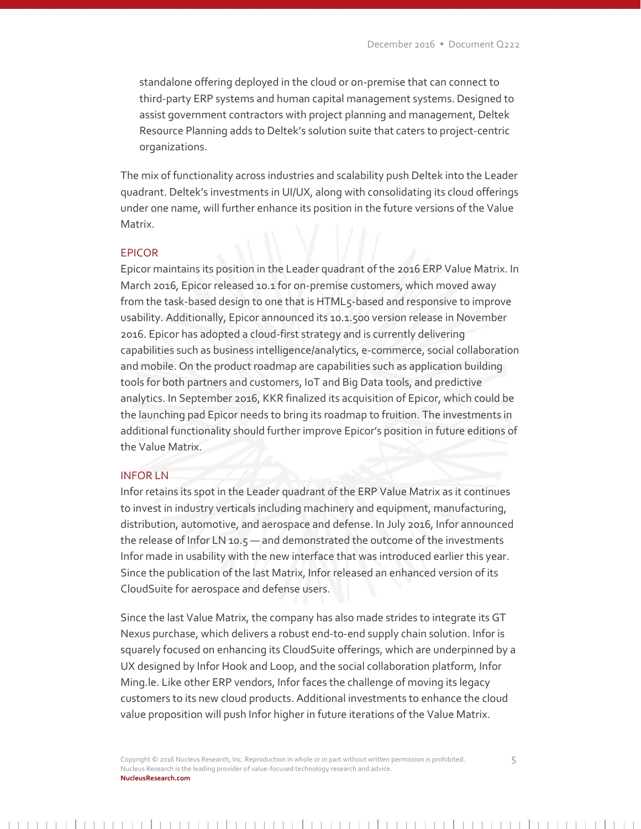standalone offering deployed in the cloud or on-premise that can connect to third-party ERP systems and human capital management systems. Designed to assist government contractors with project planning and management, Deltek Resource Planning adds to Deltek's solution suite that caters to project-centric organizations.

The mix of functionality across industries and scalability push Deltek into the Leader quadrant. Deltek's investments in UI/UX, along with consolidating its cloud offerings under one name, will further enhance its position in the future versions of the Value Matrix.

# EPICOR

Epicor maintains its position in the Leader quadrant of the 2016 ERP Value Matrix. In March 2016, Epicor released 10.1 for on-premise customers, which moved away from the task-based design to one that is HTML5-based and responsive to improve usability. Additionally, Epicor announced its 10.1.500 version release in November 2016. Epicor has adopted a cloud-first strategy and is currently delivering capabilities such as business intelligence/analytics, e-commerce, social collaboration and mobile. On the product roadmap are capabilities such as application building tools for both partners and customers, IoT and Big Data tools, and predictive analytics. In September 2016, KKR finalized its acquisition of Epicor, which could be the launching pad Epicor needs to bring its roadmap to fruition. The investments in additional functionality should further improve Epicor's position in future editions of the Value Matrix.

#### INFOR LN

Infor retains its spot in the Leader quadrant of the ERP Value Matrix as it continues to invest in industry verticals including machinery and equipment, manufacturing, distribution, automotive, and aerospace and defense. In July 2016, Infor announced the release of Infor LN 10.5 — and demonstrated the outcome of the investments Infor made in usability with the new interface that was introduced earlier this year. Since the publication of the last Matrix, Infor released an enhanced version of its CloudSuite for aerospace and defense users.

Since the last Value Matrix, the company has also made strides to integrate its GT Nexus purchase, which delivers a robust end-to-end supply chain solution. Infor is squarely focused on enhancing its CloudSuite offerings, which are underpinned by a UX designed by Infor Hook and Loop, and the social collaboration platform, Infor Ming.le. Like other ERP vendors, Infor faces the challenge of moving its legacy customers to its new cloud products. Additional investments to enhance the cloud value proposition will push Infor higher in future iterations of the Value Matrix.

Copyright © 2016 Nucleus Research, Inc. Reproduction in whole or in part without written permission is prohibited. 5 Nucleus Research is the leading provider of value-focused technology research and advice. **NucleusResearch.com**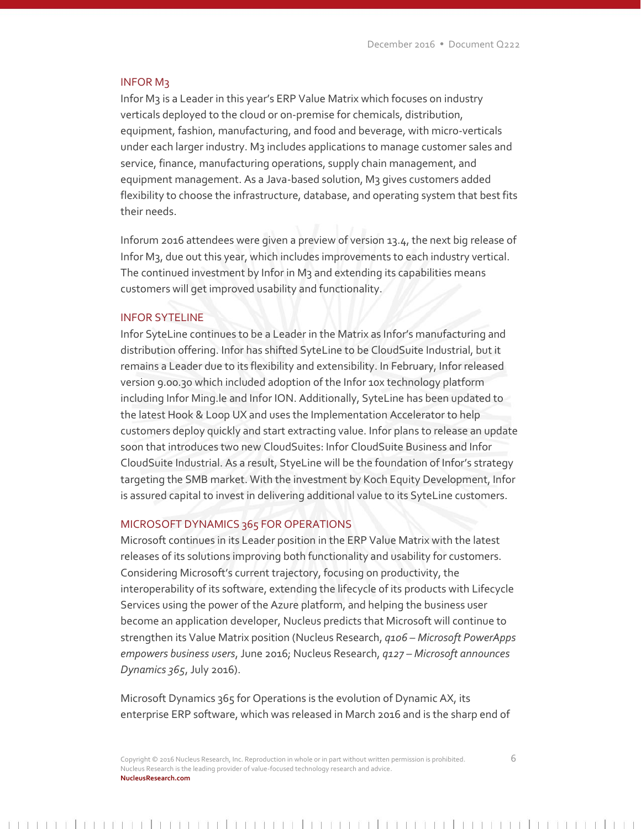#### INFOR M3

Infor M3 is a Leader in this year's ERP Value Matrix which focuses on industry verticals deployed to the cloud or on-premise for chemicals, distribution, equipment, fashion, manufacturing, and food and beverage, with micro-verticals under each larger industry. M3 includes applications to manage customer sales and service, finance, manufacturing operations, supply chain management, and equipment management. As a Java-based solution, M3 gives customers added flexibility to choose the infrastructure, database, and operating system that best fits their needs.

Inforum 2016 attendees were given a preview of version 13.4, the next big release of Infor M3, due out this year, which includes improvements to each industry vertical. The continued investment by Infor in M3 and extending its capabilities means customers will get improved usability and functionality.

#### INFOR SYTELINE

Infor SyteLine continues to be a Leader in the Matrix as Infor's manufacturing and distribution offering. Infor has shifted SyteLine to be CloudSuite Industrial, but it remains a Leader due to its flexibility and extensibility. In February, Infor released version 9.00.30 which included adoption of the Infor 10x technology platform including Infor Ming.le and Infor ION. Additionally, SyteLine has been updated to the latest Hook & Loop UX and uses the Implementation Accelerator to help customers deploy quickly and start extracting value. Infor plans to release an update soon that introduces two new CloudSuites: Infor CloudSuite Business and Infor CloudSuite Industrial. As a result, StyeLine will be the foundation of Infor's strategy targeting the SMB market. With the investment by Koch Equity Development, Infor is assured capital to invest in delivering additional value to its SyteLine customers.

#### MICROSOFT DYNAMICS 365 FOR OPERATIONS

Microsoft continues in its Leader position in the ERP Value Matrix with the latest releases of its solutions improving both functionality and usability for customers. Considering Microsoft's current trajectory, focusing on productivity, the interoperability of its software, extending the lifecycle of its products with Lifecycle Services using the power of the Azure platform, and helping the business user become an application developer, Nucleus predicts that Microsoft will continue to strengthen its Value Matrix position (Nucleus Research, *q106 – Microsoft PowerApps empowers business users*, June 2016; Nucleus Research, *q127 – Microsoft announces Dynamics 365*, July 2016).

Microsoft Dynamics 365 for Operations is the evolution of Dynamic AX, its enterprise ERP software, which was released in March 2016 and is the sharp end of

Copyright © 2016 Nucleus Research, Inc. Reproduction in whole or in part without written permission is prohibited. 6 Nucleus Research is the leading provider of value-focused technology research and advice. **NucleusResearch.com**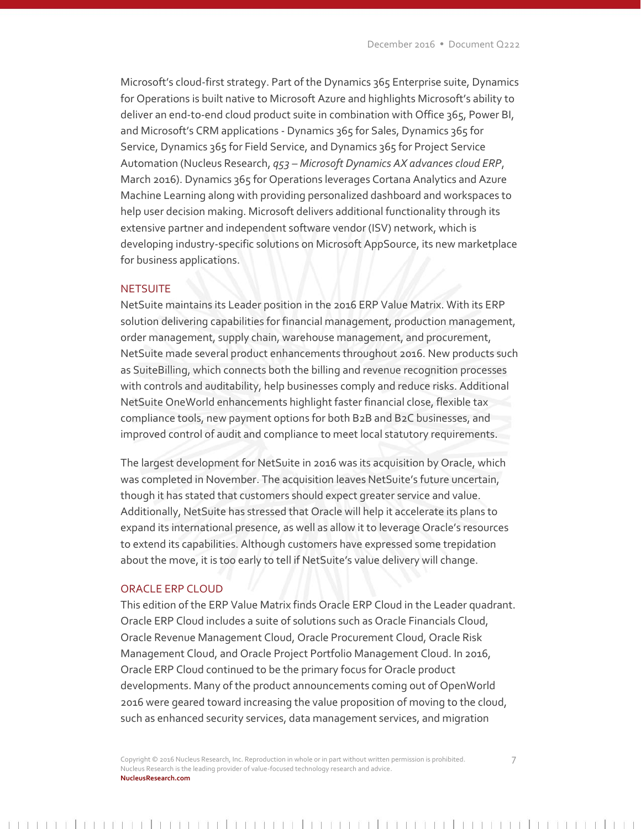Microsoft's cloud-first strategy. Part of the Dynamics 365 Enterprise suite, Dynamics for Operations is built native to Microsoft Azure and highlights Microsoft's ability to deliver an end-to-end cloud product suite in combination with Office 365, Power BI, and Microsoft's CRM applications - Dynamics 365 for Sales, Dynamics 365 for Service, Dynamics 365 for Field Service, and Dynamics 365 for Project Service Automation (Nucleus Research, *q53 – Microsoft Dynamics AX advances cloud ERP*, March 2016). Dynamics 365 for Operations leverages Cortana Analytics and Azure Machine Learning along with providing personalized dashboard and workspaces to help user decision making. Microsoft delivers additional functionality through its extensive partner and independent software vendor (ISV) network, which is developing industry-specific solutions on Microsoft AppSource, its new marketplace for business applications.

#### **NETSUITE**

NetSuite maintains its Leader position in the 2016 ERP Value Matrix. With its ERP solution delivering capabilities for financial management, production management, order management, supply chain, warehouse management, and procurement, NetSuite made several product enhancements throughout 2016. New products such as SuiteBilling, which connects both the billing and revenue recognition processes with controls and auditability, help businesses comply and reduce risks. Additional NetSuite OneWorld enhancements highlight faster financial close, flexible tax compliance tools, new payment options for both B2B and B2C businesses, and improved control of audit and compliance to meet local statutory requirements.

The largest development for NetSuite in 2016 was its acquisition by Oracle, which was completed in November. The acquisition leaves NetSuite's future uncertain, though it has stated that customers should expect greater service and value. Additionally, NetSuite has stressed that Oracle will help it accelerate its plans to expand its international presence, as well as allow it to leverage Oracle's resources to extend its capabilities. Although customers have expressed some trepidation about the move, it is too early to tell if NetSuite's value delivery will change.

#### ORACLE ERP CLOUD

This edition of the ERP Value Matrix finds Oracle ERP Cloud in the Leader quadrant. Oracle ERP Cloud includes a suite of solutions such as Oracle Financials Cloud, Oracle Revenue Management Cloud, Oracle Procurement Cloud, Oracle Risk Management Cloud, and Oracle Project Portfolio Management Cloud. In 2016, Oracle ERP Cloud continued to be the primary focus for Oracle product developments. Many of the product announcements coming out of OpenWorld 2016 were geared toward increasing the value proposition of moving to the cloud, such as enhanced security services, data management services, and migration

Copyright © 2016 Nucleus Research, Inc. Reproduction in whole or in part without written permission is prohibited. 7 Nucleus Research is the leading provider of value-focused technology research and advice. **NucleusResearch.com**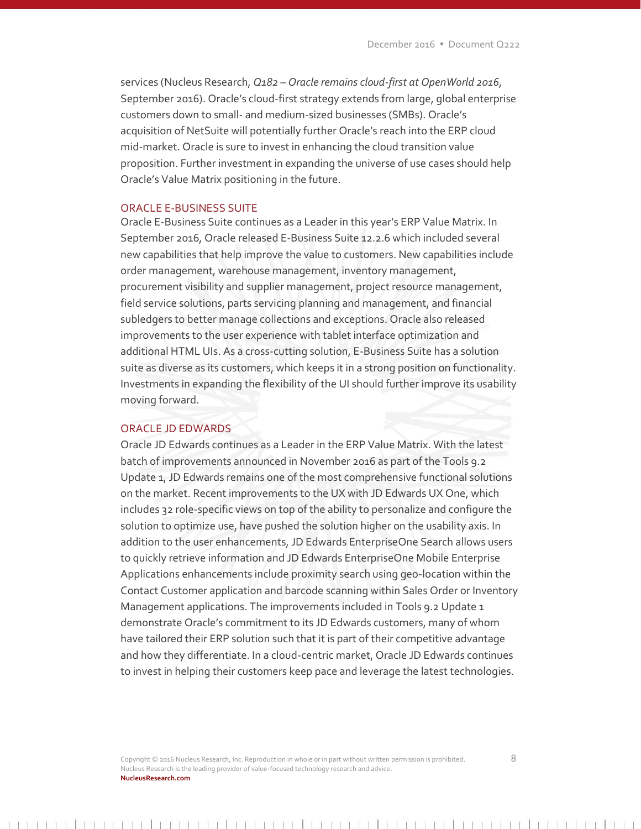services (Nucleus Research, *Q182 – Oracle remains cloud-first at OpenWorld 2016*, September 2016). Oracle's cloud-first strategy extends from large, global enterprise customers down to small- and medium-sized businesses (SMBs). Oracle's acquisition of NetSuite will potentially further Oracle's reach into the ERP cloud mid-market. Oracle is sure to invest in enhancing the cloud transition value proposition. Further investment in expanding the universe of use cases should help Oracle's Value Matrix positioning in the future.

## ORACLE E-BUSINESS SUITE

Oracle E-Business Suite continues as a Leader in this year's ERP Value Matrix. In September 2016, Oracle released E-Business Suite 12.2.6 which included several new capabilities that help improve the value to customers. New capabilities include order management, warehouse management, inventory management, procurement visibility and supplier management, project resource management, field service solutions, parts servicing planning and management, and financial subledgers to better manage collections and exceptions. Oracle also released improvements to the user experience with tablet interface optimization and additional HTML UIs. As a cross-cutting solution, E-Business Suite has a solution suite as diverse as its customers, which keeps it in a strong position on functionality. Investments in expanding the flexibility of the UI should further improve its usability moving forward.

#### ORACLE JD EDWARDS

Oracle JD Edwards continues as a Leader in the ERP Value Matrix. With the latest batch of improvements announced in November 2016 as part of the Tools 9.2 Update 1, JD Edwards remains one of the most comprehensive functional solutions on the market. Recent improvements to the UX with JD Edwards UX One, which includes 32 role-specific views on top of the ability to personalize and configure the solution to optimize use, have pushed the solution higher on the usability axis. In addition to the user enhancements, JD Edwards EnterpriseOne Search allows users to quickly retrieve information and JD Edwards EnterpriseOne Mobile Enterprise Applications enhancements include proximity search using geo-location within the Contact Customer application and barcode scanning within Sales Order or Inventory Management applications. The improvements included in Tools 9.2 Update 1 demonstrate Oracle's commitment to its JD Edwards customers, many of whom have tailored their ERP solution such that it is part of their competitive advantage and how they differentiate. In a cloud-centric market, Oracle JD Edwards continues to invest in helping their customers keep pace and leverage the latest technologies.

Copyright © 2016 Nucleus Research, Inc. Reproduction in whole or in part without written permission is prohibited. 8 Nucleus Research is the leading provider of value-focused technology research and advice. **NucleusResearch.com**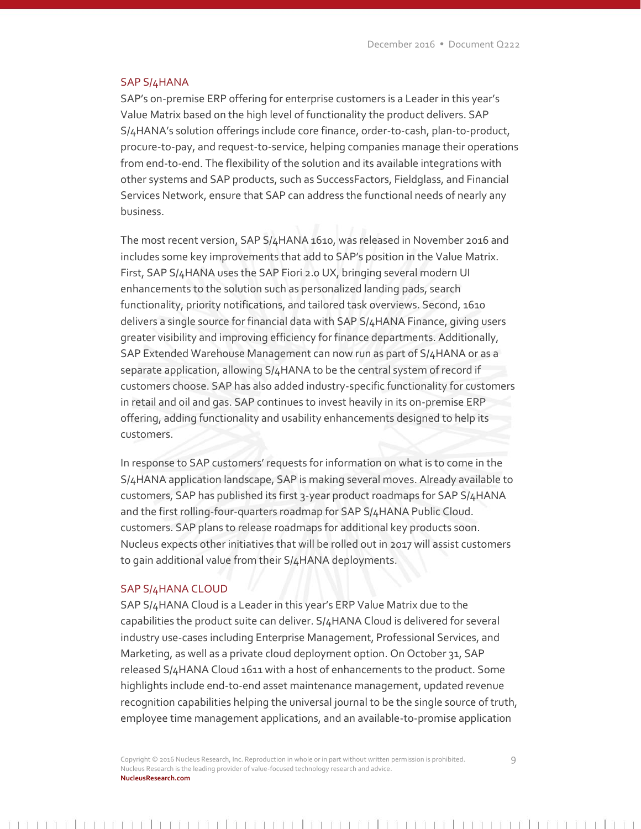#### SAP S/4HANA

SAP's on-premise ERP offering for enterprise customers is a Leader in this year's Value Matrix based on the high level of functionality the product delivers. SAP S/4HANA's solution offerings include core finance, order-to-cash, plan-to-product, procure-to-pay, and request-to-service, helping companies manage their operations from end-to-end. The flexibility of the solution and its available integrations with other systems and SAP products, such as SuccessFactors, Fieldglass, and Financial Services Network, ensure that SAP can address the functional needs of nearly any business.

The most recent version, SAP S/4HANA 1610, was released in November 2016 and includes some key improvements that add to SAP's position in the Value Matrix. First, SAP S/4HANA uses the SAP Fiori 2.0 UX, bringing several modern UI enhancements to the solution such as personalized landing pads, search functionality, priority notifications, and tailored task overviews. Second, 1610 delivers a single source for financial data with SAP S/4HANA Finance, giving users greater visibility and improving efficiency for finance departments. Additionally, SAP Extended Warehouse Management can now run as part of S/4HANA or as a separate application, allowing S/4HANA to be the central system of record if customers choose. SAP has also added industry-specific functionality for customers in retail and oil and gas. SAP continues to invest heavily in its on-premise ERP offering, adding functionality and usability enhancements designed to help its customers.

In response to SAP customers' requests for information on what is to come in the S/4HANA application landscape, SAP is making several moves. Already available to customers, SAP has published its first 3-year product roadmaps for SAP S/4HANA and the first rolling-four-quarters roadmap for SAP S/4HANA Public Cloud. customers. SAP plans to release roadmaps for additional key products soon. Nucleus expects other initiatives that will be rolled out in 2017 will assist customers to gain additional value from their S/4HANA deployments.

#### SAP S/4HANA CLOUD

SAP S/4HANA Cloud is a Leader in this year's ERP Value Matrix due to the capabilities the product suite can deliver. S/4HANA Cloud is delivered for several industry use-cases including Enterprise Management, Professional Services, and Marketing, as well as a private cloud deployment option. On October 31, SAP released S/4HANA Cloud 1611 with a host of enhancements to the product. Some highlights include end-to-end asset maintenance management, updated revenue recognition capabilities helping the universal journal to be the single source of truth, employee time management applications, and an available-to-promise application

Copyright © 2016 Nucleus Research, Inc. Reproduction in whole or in part without written permission is prohibited. 9 Nucleus Research is the leading provider of value-focused technology research and advice. **NucleusResearch.com**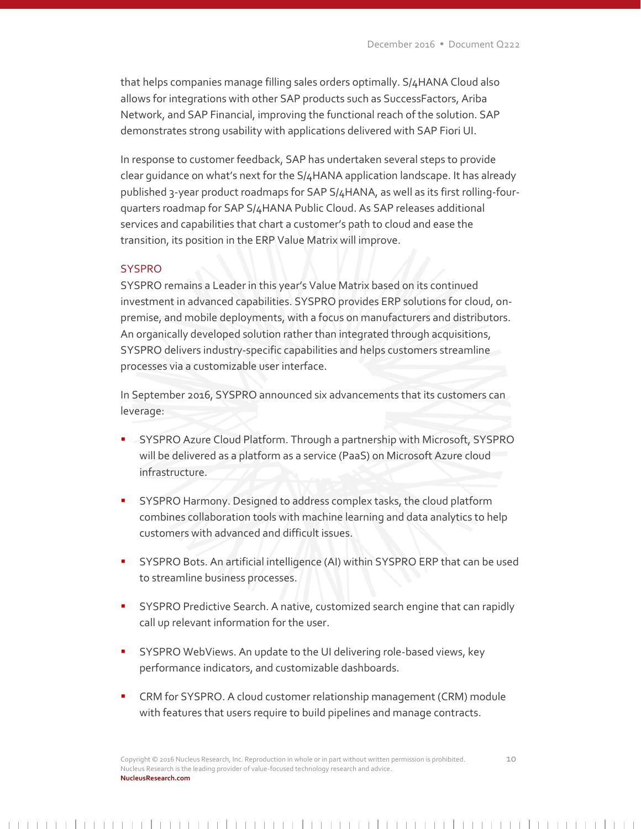that helps companies manage filling sales orders optimally. S/4HANA Cloud also allows for integrations with other SAP products such as SuccessFactors, Ariba Network, and SAP Financial, improving the functional reach of the solution. SAP demonstrates strong usability with applications delivered with SAP Fiori UI.

In response to customer feedback, SAP has undertaken several steps to provide clear guidance on what's next for the S/4HANA application landscape. It has already published 3-year product roadmaps for SAP S/4HANA, as well as its first rolling-fourquarters roadmap for SAP S/4HANA Public Cloud. As SAP releases additional services and capabilities that chart a customer's path to cloud and ease the transition, its position in the ERP Value Matrix will improve.

#### **SYSPRO**

SYSPRO remains a Leader in this year's Value Matrix based on its continued investment in advanced capabilities. SYSPRO provides ERP solutions for cloud, onpremise, and mobile deployments, with a focus on manufacturers and distributors. An organically developed solution rather than integrated through acquisitions, SYSPRO delivers industry-specific capabilities and helps customers streamline processes via a customizable user interface.

In September 2016, SYSPRO announced six advancements that its customers can leverage:

- SYSPRO Azure Cloud Platform. Through a partnership with Microsoft, SYSPRO will be delivered as a platform as a service (PaaS) on Microsoft Azure cloud infrastructure.
- SYSPRO Harmony. Designed to address complex tasks, the cloud platform combines collaboration tools with machine learning and data analytics to help customers with advanced and difficult issues.
- SYSPRO Bots. An artificial intelligence (AI) within SYSPRO ERP that can be used to streamline business processes.
- SYSPRO Predictive Search. A native, customized search engine that can rapidly call up relevant information for the user.
- SYSPRO WebViews. An update to the UI delivering role-based views, key performance indicators, and customizable dashboards.
- CRM for SYSPRO. A cloud customer relationship management (CRM) module with features that users require to build pipelines and manage contracts.

Copyright © 2016 Nucleus Research, Inc. Reproduction in whole or in part without written permission is prohibited. 10 Nucleus Research is the leading provider of value-focused technology research and advice. **NucleusResearch.com**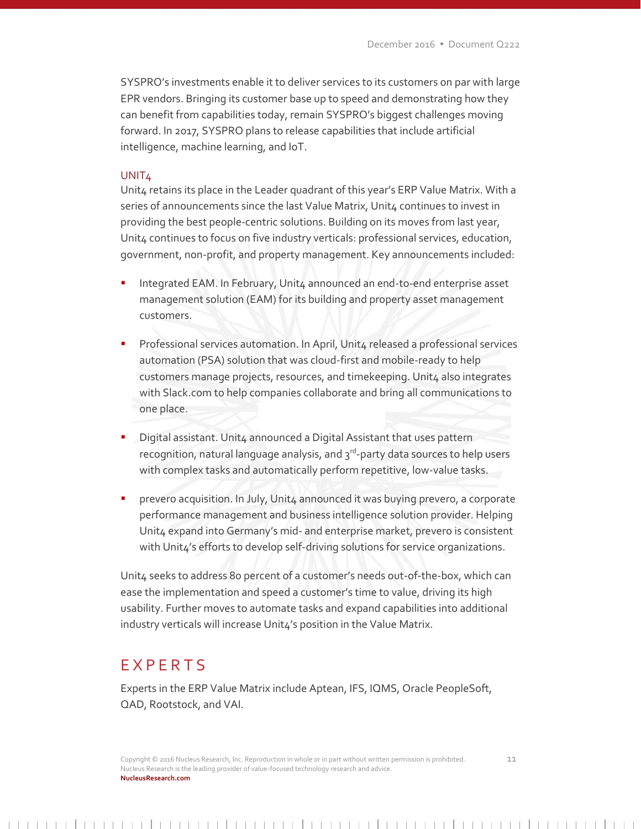SYSPRO's investments enable it to deliver services to its customers on par with large EPR vendors. Bringing its customer base up to speed and demonstrating how they can benefit from capabilities today, remain SYSPRO's biggest challenges moving forward. In 2017, SYSPRO plans to release capabilities that include artificial intelligence, machine learning, and IoT.

#### UNIT<sub>4</sub>

Unit4 retains its place in the Leader quadrant of this year's ERP Value Matrix. With a series of announcements since the last Value Matrix, Unit4 continues to invest in providing the best people-centric solutions. Building on its moves from last year, Unit4 continues to focus on five industry verticals: professional services, education, government, non-profit, and property management. Key announcements included:

- Integrated EAM. In February, Unit4 announced an end-to-end enterprise asset management solution (EAM) for its building and property asset management customers.
- Professional services automation. In April, Unit4 released a professional services automation (PSA) solution that was cloud-first and mobile-ready to help customers manage projects, resources, and timekeeping. Unit4 also integrates with Slack.com to help companies collaborate and bring all communications to one place.
- Digital assistant. Unit4 announced a Digital Assistant that uses pattern recognition, natural language analysis, and 3<sup>rd</sup>-party data sources to help users with complex tasks and automatically perform repetitive, low-value tasks.
- prevero acquisition. In July, Unit4 announced it was buying prevero, a corporate performance management and business intelligence solution provider. Helping Unit4 expand into Germany's mid- and enterprise market, prevero is consistent with Unit4's efforts to develop self-driving solutions for service organizations.

Unit4 seeks to address 80 percent of a customer's needs out-of-the-box, which can ease the implementation and speed a customer's time to value, driving its high usability. Further moves to automate tasks and expand capabilities into additional industry verticals will increase Unit4's position in the Value Matrix.

# **EXPERTS**

Experts in the ERP Value Matrix include Aptean, IFS, IQMS, Oracle PeopleSoft, QAD, Rootstock, and VAI.

Copyright © 2016 Nucleus Research, Inc. Reproduction in whole or in part without written permission is prohibited. 11 Nucleus Research is the leading provider of value-focused technology research and advice. **NucleusResearch.com**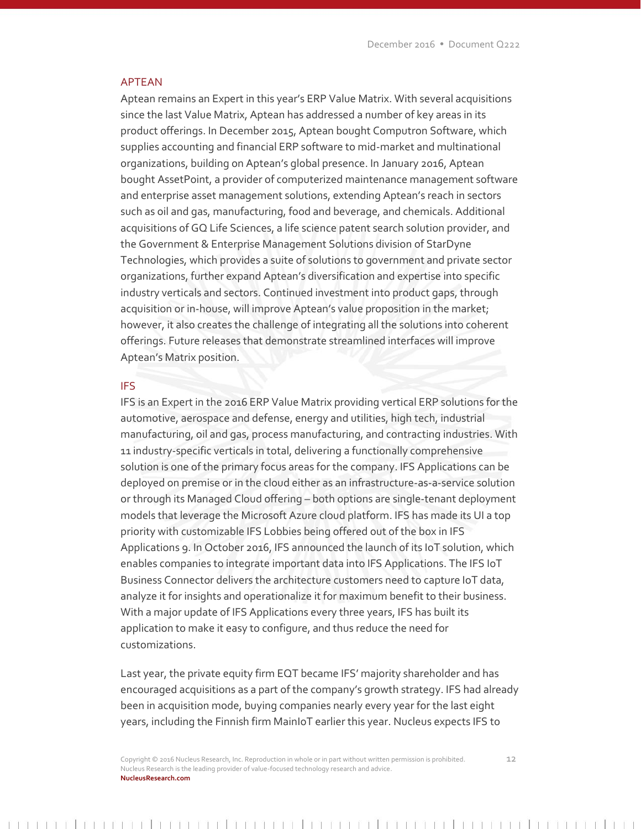# APTEAN

Aptean remains an Expert in this year's ERP Value Matrix. With several acquisitions since the last Value Matrix, Aptean has addressed a number of key areas in its product offerings. In December 2015, Aptean bought Computron Software, which supplies accounting and financial ERP software to mid-market and multinational organizations, building on Aptean's global presence. In January 2016, Aptean bought AssetPoint, a provider of computerized maintenance management software and enterprise asset management solutions, extending Aptean's reach in sectors such as oil and gas, manufacturing, food and beverage, and chemicals. Additional acquisitions of GQ Life Sciences, a life science patent search solution provider, and the Government & Enterprise Management Solutions division of StarDyne Technologies, which provides a suite of solutions to government and private sector organizations, further expand Aptean's diversification and expertise into specific industry verticals and sectors. Continued investment into product gaps, through acquisition or in-house, will improve Aptean's value proposition in the market; however, it also creates the challenge of integrating all the solutions into coherent offerings. Future releases that demonstrate streamlined interfaces will improve Aptean's Matrix position.

### IFS

IFS is an Expert in the 2016 ERP Value Matrix providing vertical ERP solutions for the automotive, aerospace and defense, energy and utilities, high tech, industrial manufacturing, oil and gas, process manufacturing, and contracting industries. With 11 industry-specific verticals in total, delivering a functionally comprehensive solution is one of the primary focus areas for the company. IFS Applications can be deployed on premise or in the cloud either as an infrastructure-as-a-service solution or through its Managed Cloud offering – both options are single-tenant deployment models that leverage the Microsoft Azure cloud platform. IFS has made its UI a top priority with customizable IFS Lobbies being offered out of the box in IFS Applications 9. In October 2016, IFS announced the launch of its IoT solution, which enables companies to integrate important data into IFS Applications. The IFS IoT Business Connector delivers the architecture customers need to capture IoT data, analyze it for insights and operationalize it for maximum benefit to their business. With a major update of IFS Applications every three years, IFS has built its application to make it easy to configure, and thus reduce the need for customizations.

Last year, the private equity firm EQT became IFS' majority shareholder and has encouraged acquisitions as a part of the company's growth strategy. IFS had already been in acquisition mode, buying companies nearly every year for the last eight years, including the Finnish firm MainIoT earlier this year. Nucleus expects IFS to

Copyright © 2016 Nucleus Research, Inc. Reproduction in whole or in part without written permission is prohibited. 12 Nucleus Research is the leading provider of value-focused technology research and advice. **NucleusResearch.com**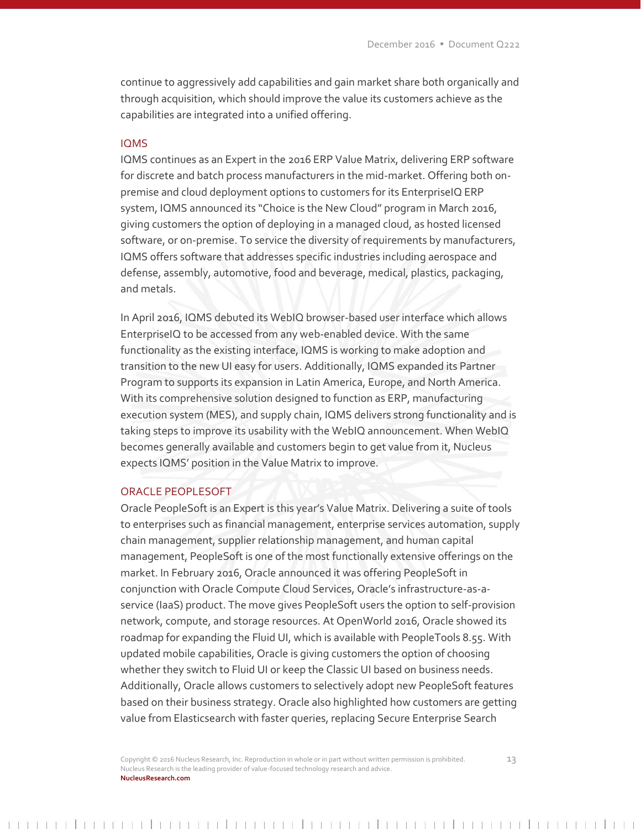continue to aggressively add capabilities and gain market share both organically and through acquisition, which should improve the value its customers achieve as the capabilities are integrated into a unified offering.

# IQMS

IQMS continues as an Expert in the 2016 ERP Value Matrix, delivering ERP software for discrete and batch process manufacturers in the mid-market. Offering both onpremise and cloud deployment options to customers for its EnterpriseIQ ERP system, IQMS announced its "Choice is the New Cloud" program in March 2016, giving customers the option of deploying in a managed cloud, as hosted licensed software, or on-premise. To service the diversity of requirements by manufacturers, IQMS offers software that addresses specific industries including aerospace and defense, assembly, automotive, food and beverage, medical, plastics, packaging, and metals.

In April 2016, IQMS debuted its WebIQ browser-based user interface which allows EnterpriseIQ to be accessed from any web-enabled device. With the same functionality as the existing interface, IQMS is working to make adoption and transition to the new UI easy for users. Additionally, IQMS expanded its Partner Program to supports its expansion in Latin America, Europe, and North America. With its comprehensive solution designed to function as ERP, manufacturing execution system (MES), and supply chain, IQMS delivers strong functionality and is taking steps to improve its usability with the WebIQ announcement. When WebIQ becomes generally available and customers begin to get value from it, Nucleus expects IQMS' position in the Value Matrix to improve.

#### ORACLE PEOPLESOFT

Oracle PeopleSoft is an Expert is this year's Value Matrix. Delivering a suite of tools to enterprises such as financial management, enterprise services automation, supply chain management, supplier relationship management, and human capital management, PeopleSoft is one of the most functionally extensive offerings on the market. In February 2016, Oracle announced it was offering PeopleSoft in conjunction with Oracle Compute Cloud Services, Oracle's infrastructure-as-aservice (IaaS) product. The move gives PeopleSoft users the option to self-provision network, compute, and storage resources. At OpenWorld 2016, Oracle showed its roadmap for expanding the Fluid UI, which is available with PeopleTools 8.55. With updated mobile capabilities, Oracle is giving customers the option of choosing whether they switch to Fluid UI or keep the Classic UI based on business needs. Additionally, Oracle allows customers to selectively adopt new PeopleSoft features based on their business strategy. Oracle also highlighted how customers are getting value from Elasticsearch with faster queries, replacing Secure Enterprise Search

Copyright © 2016 Nucleus Research, Inc. Reproduction in whole or in part without written permission is prohibited. 13 Nucleus Research is the leading provider of value-focused technology research and advice. **NucleusResearch.com**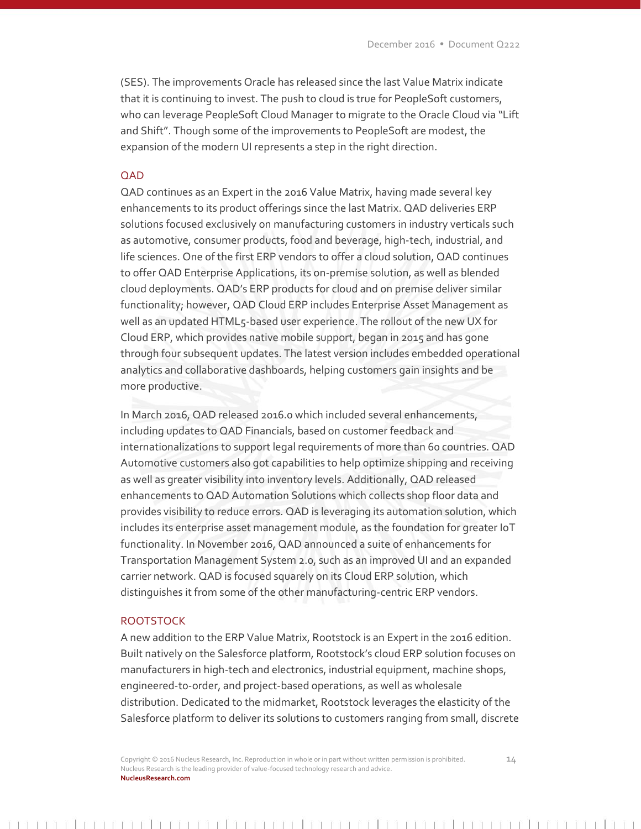(SES). The improvements Oracle has released since the last Value Matrix indicate that it is continuing to invest. The push to cloud is true for PeopleSoft customers, who can leverage PeopleSoft Cloud Manager to migrate to the Oracle Cloud via "Lift and Shift". Though some of the improvements to PeopleSoft are modest, the expansion of the modern UI represents a step in the right direction.

#### QAD

QAD continues as an Expert in the 2016 Value Matrix, having made several key enhancements to its product offerings since the last Matrix. QAD deliveries ERP solutions focused exclusively on manufacturing customers in industry verticals such as automotive, consumer products, food and beverage, high-tech, industrial, and life sciences. One of the first ERP vendors to offer a cloud solution, QAD continues to offer QAD Enterprise Applications, its on-premise solution, as well as blended cloud deployments. QAD's ERP products for cloud and on premise deliver similar functionality; however, QAD Cloud ERP includes Enterprise Asset Management as well as an updated HTML5-based user experience. The rollout of the new UX for Cloud ERP, which provides native mobile support, began in 2015 and has gone through four subsequent updates. The latest version includes embedded operational analytics and collaborative dashboards, helping customers gain insights and be more productive.

In March 2016, QAD released 2016.0 which included several enhancements, including updates to QAD Financials, based on customer feedback and internationalizations to support legal requirements of more than 60 countries. QAD Automotive customers also got capabilities to help optimize shipping and receiving as well as greater visibility into inventory levels. Additionally, QAD released enhancements to QAD Automation Solutions which collects shop floor data and provides visibility to reduce errors. QAD is leveraging its automation solution, which includes its enterprise asset management module, as the foundation for greater IoT functionality. In November 2016, QAD announced a suite of enhancements for Transportation Management System 2.0, such as an improved UI and an expanded carrier network. QAD is focused squarely on its Cloud ERP solution, which distinguishes it from some of the other manufacturing-centric ERP vendors.

### **ROOTSTOCK**

A new addition to the ERP Value Matrix, Rootstock is an Expert in the 2016 edition. Built natively on the Salesforce platform, Rootstock's cloud ERP solution focuses on manufacturers in high-tech and electronics, industrial equipment, machine shops, engineered-t0-order, and project-based operations, as well as wholesale distribution. Dedicated to the midmarket, Rootstock leverages the elasticity of the Salesforce platform to deliver its solutions to customers ranging from small, discrete

Copyright © 2016 Nucleus Research, Inc. Reproduction in whole or in part without written permission is prohibited. 14 Nucleus Research is the leading provider of value-focused technology research and advice. **NucleusResearch.com**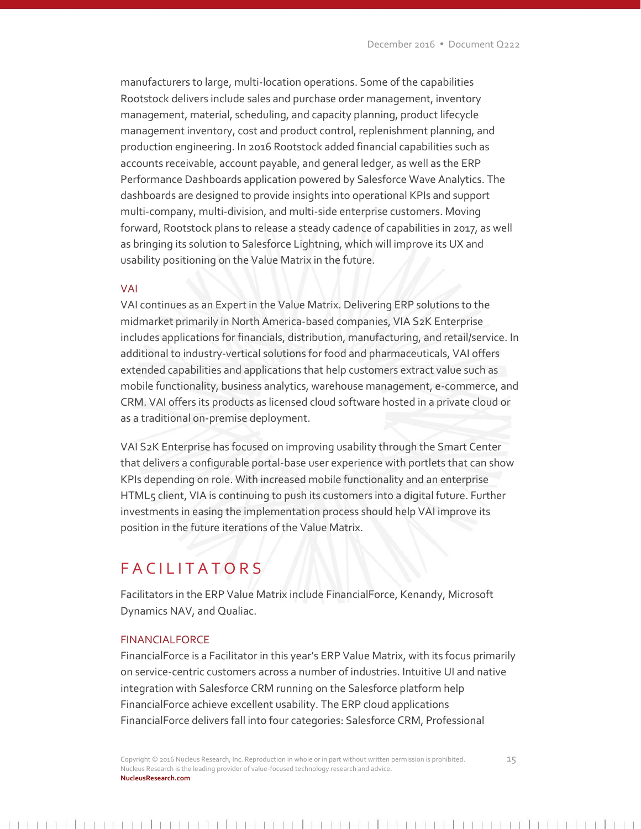manufacturers to large, multi-location operations. Some of the capabilities Rootstock delivers include sales and purchase order management, inventory management, material, scheduling, and capacity planning, product lifecycle management inventory, cost and product control, replenishment planning, and production engineering. In 2016 Rootstock added financial capabilities such as accounts receivable, account payable, and general ledger, as well as the ERP Performance Dashboards application powered by Salesforce Wave Analytics. The dashboards are designed to provide insights into operational KPIs and support multi-company, multi-division, and multi-side enterprise customers. Moving forward, Rootstock plans to release a steady cadence of capabilities in 2017, as well as bringing its solution to Salesforce Lightning, which will improve its UX and usability positioning on the Value Matrix in the future.

## VAI

VAI continues as an Expert in the Value Matrix. Delivering ERP solutions to the midmarket primarily in North America-based companies, VIA S2K Enterprise includes applications for financials, distribution, manufacturing, and retail/service. In additional to industry-vertical solutions for food and pharmaceuticals, VAI offers extended capabilities and applications that help customers extract value such as mobile functionality, business analytics, warehouse management, e-commerce, and CRM. VAI offers its products as licensed cloud software hosted in a private cloud or as a traditional on-premise deployment.

VAI S2K Enterprise has focused on improving usability through the Smart Center that delivers a configurable portal-base user experience with portlets that can show KPIs depending on role. With increased mobile functionality and an enterprise HTML5 client, VIA is continuing to push its customers into a digital future. Further investments in easing the implementation process should help VAI improve its position in the future iterations of the Value Matrix.

# **FACILITATORS**

Facilitators in the ERP Value Matrix include FinancialForce, Kenandy, Microsoft Dynamics NAV, and Qualiac.

## FINANCIALFORCE

FinancialForce is a Facilitator in this year's ERP Value Matrix, with its focus primarily on service-centric customers across a number of industries. Intuitive UI and native integration with Salesforce CRM running on the Salesforce platform help FinancialForce achieve excellent usability. The ERP cloud applications FinancialForce delivers fall into four categories: Salesforce CRM, Professional

Copyright © 2016 Nucleus Research, Inc. Reproduction in whole or in part without written permission is prohibited. 15 Nucleus Research is the leading provider of value-focused technology research and advice. **NucleusResearch.com**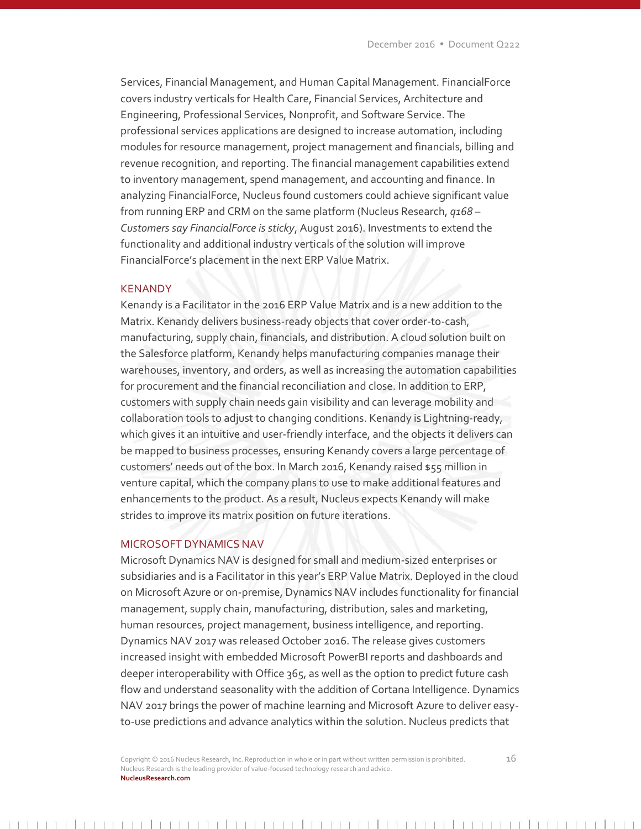Services, Financial Management, and Human Capital Management. FinancialForce covers industry verticals for Health Care, Financial Services, Architecture and Engineering, Professional Services, Nonprofit, and Software Service. The professional services applications are designed to increase automation, including modules for resource management, project management and financials, billing and revenue recognition, and reporting. The financial management capabilities extend to inventory management, spend management, and accounting and finance. In analyzing FinancialForce, Nucleus found customers could achieve significant value from running ERP and CRM on the same platform (Nucleus Research, *q168 – Customers say FinancialForce is sticky*, August 2016). Investments to extend the functionality and additional industry verticals of the solution will improve FinancialForce's placement in the next ERP Value Matrix.

#### **KENANDY**

Kenandy is a Facilitator in the 2016 ERP Value Matrix and is a new addition to the Matrix. Kenandy delivers business-ready objects that cover order-to-cash, manufacturing, supply chain, financials, and distribution. A cloud solution built on the Salesforce platform, Kenandy helps manufacturing companies manage their warehouses, inventory, and orders, as well as increasing the automation capabilities for procurement and the financial reconciliation and close. In addition to ERP, customers with supply chain needs gain visibility and can leverage mobility and collaboration tools to adjust to changing conditions. Kenandy is Lightning-ready, which gives it an intuitive and user-friendly interface, and the objects it delivers can be mapped to business processes, ensuring Kenandy covers a large percentage of customers' needs out of the box. In March 2016, Kenandy raised \$55 million in venture capital, which the company plans to use to make additional features and enhancements to the product. As a result, Nucleus expects Kenandy will make strides to improve its matrix position on future iterations.

## MICROSOFT DYNAMICS NAV

Microsoft Dynamics NAV is designed for small and medium-sized enterprises or subsidiaries and is a Facilitator in this year's ERP Value Matrix. Deployed in the cloud on Microsoft Azure or on-premise, Dynamics NAV includes functionality for financial management, supply chain, manufacturing, distribution, sales and marketing, human resources, project management, business intelligence, and reporting. Dynamics NAV 2017 was released October 2016. The release gives customers increased insight with embedded Microsoft PowerBI reports and dashboards and deeper interoperability with Office 365, as well as the option to predict future cash flow and understand seasonality with the addition of Cortana Intelligence. Dynamics NAV 2017 brings the power of machine learning and Microsoft Azure to deliver easyto-use predictions and advance analytics within the solution. Nucleus predicts that

Copyright  $\odot$  2016 Nucleus Research, Inc. Reproduction in whole or in part without written permission is prohibited.  $16$ Nucleus Research is the leading provider of value-focused technology research and advice. **NucleusResearch.com**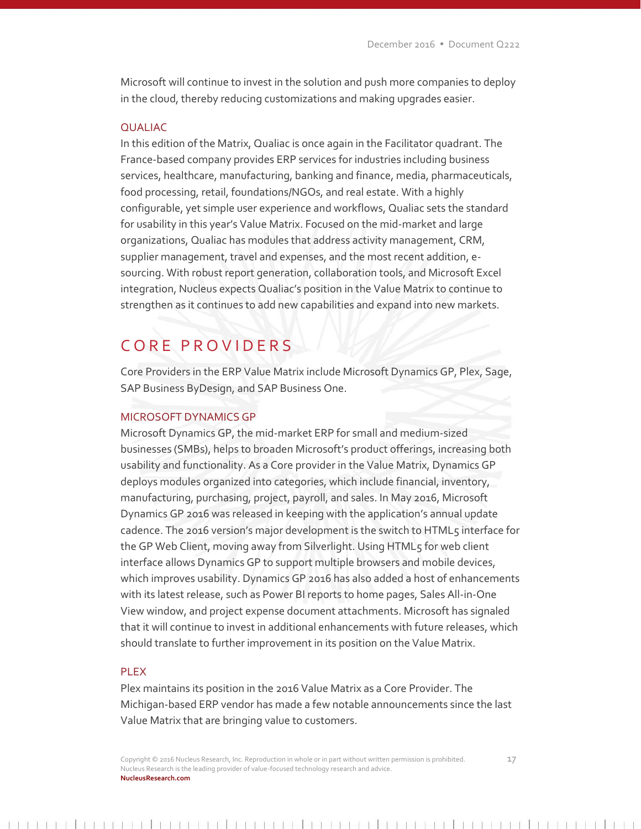Microsoft will continue to invest in the solution and push more companies to deploy in the cloud, thereby reducing customizations and making upgrades easier.

# QUALIAC

In this edition of the Matrix, Qualiac is once again in the Facilitator quadrant. The France-based company provides ERP services for industries including business services, healthcare, manufacturing, banking and finance, media, pharmaceuticals, food processing, retail, foundations/NGOs, and real estate. With a highly configurable, yet simple user experience and workflows, Qualiac sets the standard for usability in this year's Value Matrix. Focused on the mid-market and large organizations, Qualiac has modules that address activity management, CRM, supplier management, travel and expenses, and the most recent addition, esourcing. With robust report generation, collaboration tools, and Microsoft Excel integration, Nucleus expects Qualiac's position in the Value Matrix to continue to strengthen as it continues to add new capabilities and expand into new markets.

# C O R E P R O V I D E R S

Core Providers in the ERP Value Matrix include Microsoft Dynamics GP, Plex, Sage, SAP Business ByDesign, and SAP Business One.

#### MICROSOFT DYNAMICS GP

Microsoft Dynamics GP, the mid-market ERP for small and medium-sized businesses (SMBs), helps to broaden Microsoft's product offerings, increasing both usability and functionality. As a Core provider in the Value Matrix, Dynamics GP deploys modules organized into categories, which include financial, inventory, manufacturing, purchasing, project, payroll, and sales. In May 2016, Microsoft Dynamics GP 2016 was released in keeping with the application's annual update cadence. The 2016 version's major development is the switch to HTML5 interface for the GP Web Client, moving away from Silverlight. Using HTML5 for web client interface allows Dynamics GP to support multiple browsers and mobile devices, which improves usability. Dynamics GP 2016 has also added a host of enhancements with its latest release, such as Power BI reports to home pages, Sales All-in-One View window, and project expense document attachments. Microsoft has signaled that it will continue to invest in additional enhancements with future releases, which should translate to further improvement in its position on the Value Matrix.

#### PLEX

Plex maintains its position in the 2016 Value Matrix as a Core Provider. The Michigan-based ERP vendor has made a few notable announcements since the last Value Matrix that are bringing value to customers.

Copyright © 2016 Nucleus Research, Inc. Reproduction in whole or in part without written permission is prohibited. 17 Nucleus Research is the leading provider of value-focused technology research and advice. **NucleusResearch.com**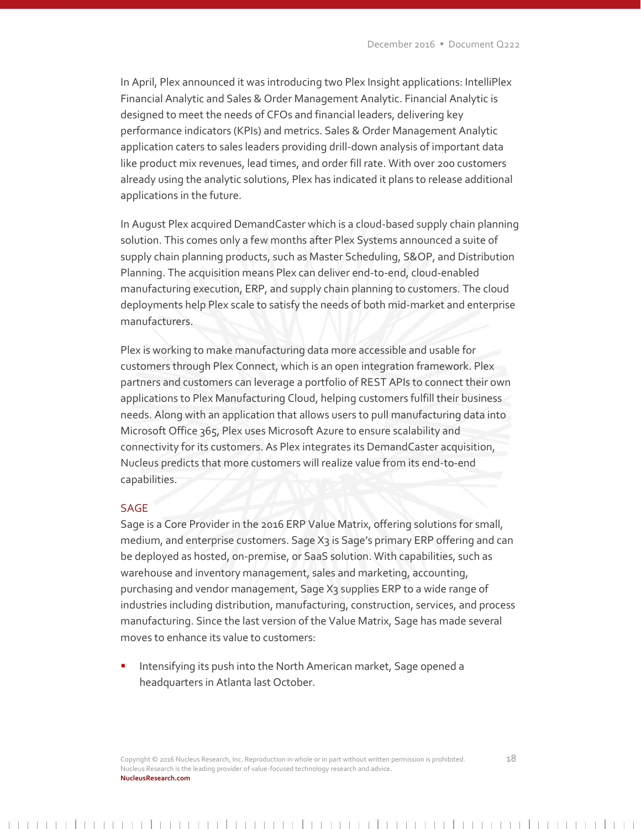In April, Plex announced it was introducing two Plex Insight applications: IntelliPlex Financial Analytic and Sales & Order Management Analytic. Financial Analytic is designed to meet the needs of CFOs and financial leaders, delivering key performance indicators (KPIs) and metrics. Sales & Order Management Analytic application caters to sales leaders providing drill-down analysis of important data like product mix revenues, lead times, and order fill rate. With over 200 customers already using the analytic solutions, Plex has indicated it plans to release additional applications in the future.

In August Plex acquired DemandCaster which is a cloud-based supply chain planning solution. This comes only a few months after Plex Systems announced a suite of supply chain planning products, such as Master Scheduling, S&OP, and Distribution Planning. The acquisition means Plex can deliver end-to-end, cloud-enabled manufacturing execution, ERP, and supply chain planning to customers. The cloud deployments help Plex scale to satisfy the needs of both mid-market and enterprise manufacturers.

Plex is working to make manufacturing data more accessible and usable for customers through Plex Connect, which is an open integration framework. Plex partners and customers can leverage a portfolio of REST APIs to connect their own applications to Plex Manufacturing Cloud, helping customers fulfill their business needs. Along with an application that allows users to pull manufacturing data into Microsoft Office 365, Plex uses Microsoft Azure to ensure scalability and connectivity for its customers. As Plex integrates its DemandCaster acquisition, Nucleus predicts that more customers will realize value from its end-to-end capabilities.

# SAGE

Sage is a Core Provider in the 2016 ERP Value Matrix, offering solutions for small, medium, and enterprise customers. Sage X3 is Sage's primary ERP offering and can be deployed as hosted, on-premise, or SaaS solution. With capabilities, such as warehouse and inventory management, sales and marketing, accounting, purchasing and vendor management, Sage X<sub>3</sub> supplies ERP to a wide range of industries including distribution, manufacturing, construction, services, and process manufacturing. Since the last version of the Value Matrix, Sage has made several moves to enhance its value to customers:

 Intensifying its push into the North American market, Sage opened a headquarters in Atlanta last October.

Copyright  $\odot$  2016 Nucleus Research, Inc. Reproduction in whole or in part without written permission is prohibited.  $18$ Nucleus Research is the leading provider of value-focused technology research and advice. **NucleusResearch.com**